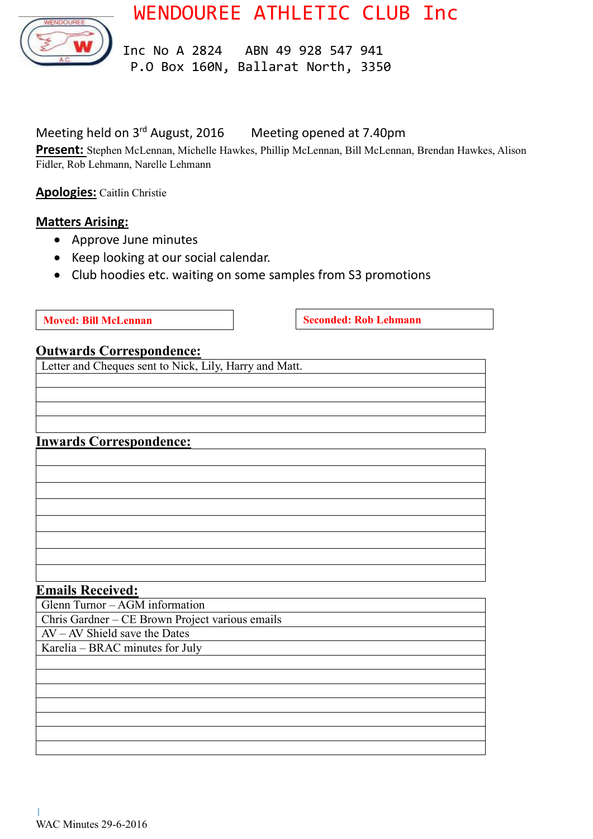WENDOUREE ATHLETIC CLUB Inc



 Inc No A 2824 ABN 49 928 547 941 P.O Box 160N, Ballarat North, 3350

# Meeting held on 3<sup>rd</sup> August, 2016 Meeting opened at 7.40pm

**Present:** Stephen McLennan, Michelle Hawkes, Phillip McLennan, Bill McLennan, Brendan Hawkes, Alison Fidler, Rob Lehmann, Narelle Lehmann

**Apologies:** Caitlin Christie

### **Matters Arising:**

- Approve June minutes
- Keep looking at our social calendar.
- Club hoodies etc. waiting on some samples from S3 promotions

**Moved:** Bill McLennan **Seconded:** Rob Lehmann

#### **Outwards Correspondence:**

Letter and Cheques sent to Nick, Lily, Harry and Matt.

### **Inwards Correspondence:**

| <u> 2001 - An Dùbhlachd ann an Dùbhlachd ann an Dùbhlachd ann an Dùbhlachd ann an Dùbhlachd ann an Dùbhlachd ann a</u> |  |
|------------------------------------------------------------------------------------------------------------------------|--|
|                                                                                                                        |  |
|                                                                                                                        |  |
| the contract of the contract of the contract of                                                                        |  |
|                                                                                                                        |  |
| <u> 1989 - Andrea Andrew Maria (h. 1989).</u>                                                                          |  |
| <u> 2000 - Andrea Andrew American American American American American American American American American America</u>  |  |

#### **Emails Received:**

Glenn Turnor – AGM information

Chris Gardner – CE Brown Project various emails

AV – AV Shield save the Dates Karelia – BRAC minutes for July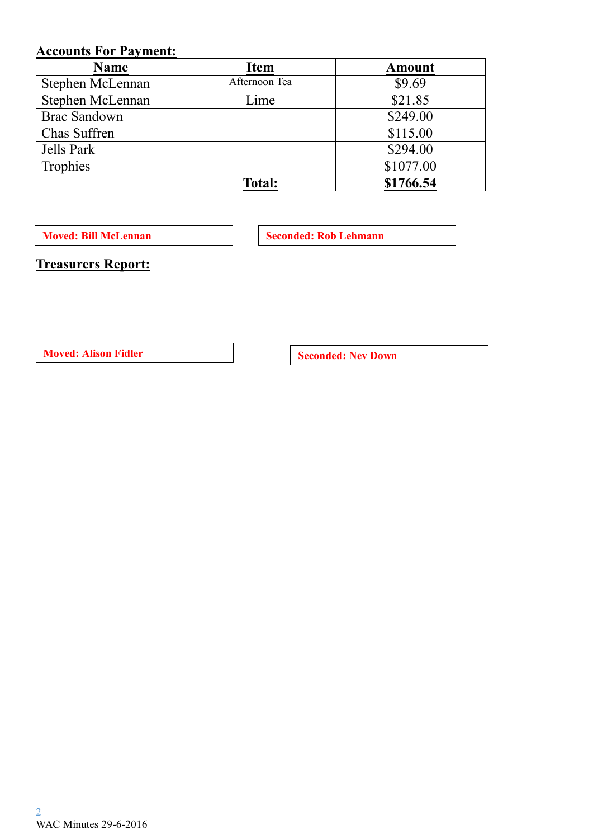# **Accounts For Payment:**

| <b>Name</b>         | <b>Item</b>   | <b>Amount</b> |
|---------------------|---------------|---------------|
| Stephen McLennan    | Afternoon Tea | \$9.69        |
| Stephen McLennan    | Lime          | \$21.85       |
| <b>Brac Sandown</b> |               | \$249.00      |
| Chas Suffren        |               | \$115.00      |
| Jells Park          |               | \$294.00      |
| Trophies            |               | \$1077.00     |
|                     | <b>Total:</b> | \$1766.54     |

**Moved: Bill McLennan Seconded: Rob Lehmann** 

**Treasurers Report:**

**Moved:** Alison Fidler **Seconded:** Nev Down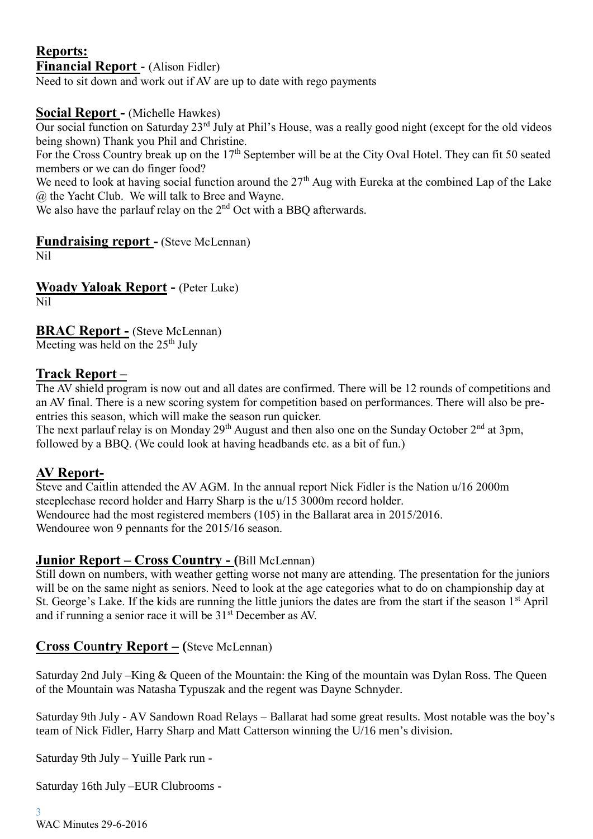# **Reports: Financial Report** - (Alison Fidler)

Need to sit down and work out if AV are up to date with rego payments

# **Social Report -** (Michelle Hawkes)

Our social function on Saturday 23rd July at Phil's House, was a really good night (except for the old videos being shown) Thank you Phil and Christine.

For the Cross Country break up on the  $17<sup>th</sup>$  September will be at the City Oval Hotel. They can fit 50 seated members or we can do finger food?

We need to look at having social function around the 27<sup>th</sup> Aug with Eureka at the combined Lap of the Lake @ the Yacht Club. We will talk to Bree and Wayne.

We also have the parlauf relay on the 2<sup>nd</sup> Oct with a BBO afterwards.

# **Fundraising report -** (Steve McLennan)

Nil

**Woady Yaloak Report -** (Peter Luke) Nil

**BRAC Report -** (Steve McLennan) Meeting was held on the  $25<sup>th</sup>$  July

### **Track Report –**

The AV shield program is now out and all dates are confirmed. There will be 12 rounds of competitions and an AV final. There is a new scoring system for competition based on performances. There will also be preentries this season, which will make the season run quicker.

The next parlauf relay is on Monday  $29<sup>th</sup>$  August and then also one on the Sunday October  $2<sup>nd</sup>$  at 3pm, followed by a BBQ. (We could look at having headbands etc. as a bit of fun.)

### **AV Report-**

Steve and Caitlin attended the AV AGM. In the annual report Nick Fidler is the Nation u/16 2000m steeplechase record holder and Harry Sharp is the u/15 3000m record holder. Wendouree had the most registered members (105) in the Ballarat area in 2015/2016. Wendouree won 9 pennants for the 2015/16 season.

### **Junior Report – Cross Country - (**Bill McLennan)

Still down on numbers, with weather getting worse not many are attending. The presentation for the juniors will be on the same night as seniors. Need to look at the age categories what to do on championship day at St. George's Lake. If the kids are running the little juniors the dates are from the start if the season 1st April and if running a senior race it will be  $31<sup>st</sup>$  December as AV.

# **Cross Co**u**ntry Report – (**Steve McLennan)

Saturday 2nd July –King & Queen of the Mountain: the King of the mountain was Dylan Ross. The Queen of the Mountain was Natasha Typuszak and the regent was Dayne Schnyder.

Saturday 9th July - AV Sandown Road Relays – Ballarat had some great results. Most notable was the boy's team of Nick Fidler, Harry Sharp and Matt Catterson winning the U/16 men's division.

Saturday 9th July – Yuille Park run -

Saturday 16th July –EUR Clubrooms -